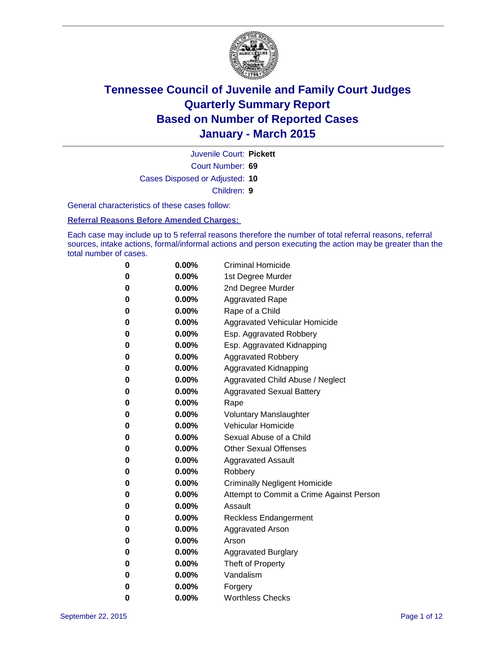

Juvenile Court: **Pickett**

Court Number: **69**

Cases Disposed or Adjusted: **10**

Children: **9**

General characteristics of these cases follow:

**Referral Reasons Before Amended Charges:** 

Each case may include up to 5 referral reasons therefore the number of total referral reasons, referral sources, intake actions, formal/informal actions and person executing the action may be greater than the total number of cases.

| 0        | $0.00\%$ | <b>Criminal Homicide</b>                 |
|----------|----------|------------------------------------------|
| $\bf{0}$ | $0.00\%$ | 1st Degree Murder                        |
| $\bf{0}$ | $0.00\%$ | 2nd Degree Murder                        |
| 0        | $0.00\%$ | <b>Aggravated Rape</b>                   |
| 0        | $0.00\%$ | Rape of a Child                          |
| 0        | $0.00\%$ | <b>Aggravated Vehicular Homicide</b>     |
| 0        | $0.00\%$ | Esp. Aggravated Robbery                  |
| 0        | $0.00\%$ | Esp. Aggravated Kidnapping               |
| 0        | $0.00\%$ | <b>Aggravated Robbery</b>                |
| $\bf{0}$ | $0.00\%$ | <b>Aggravated Kidnapping</b>             |
| 0        | $0.00\%$ | Aggravated Child Abuse / Neglect         |
| 0        | $0.00\%$ | <b>Aggravated Sexual Battery</b>         |
| 0        | $0.00\%$ | Rape                                     |
| 0        | 0.00%    | <b>Voluntary Manslaughter</b>            |
| 0        | 0.00%    | Vehicular Homicide                       |
| 0        | $0.00\%$ | Sexual Abuse of a Child                  |
| 0        | $0.00\%$ | <b>Other Sexual Offenses</b>             |
| $\bf{0}$ | $0.00\%$ | <b>Aggravated Assault</b>                |
| 0        | $0.00\%$ | Robbery                                  |
| 0        | $0.00\%$ | <b>Criminally Negligent Homicide</b>     |
| 0        | $0.00\%$ | Attempt to Commit a Crime Against Person |
| $\bf{0}$ | 0.00%    | Assault                                  |
| 0        | $0.00\%$ | Reckless Endangerment                    |
| 0        | $0.00\%$ | Aggravated Arson                         |
| 0        | $0.00\%$ | Arson                                    |
| 0        | $0.00\%$ | <b>Aggravated Burglary</b>               |
| 0        | $0.00\%$ | Theft of Property                        |
| $\bf{0}$ | $0.00\%$ | Vandalism                                |
| 0        | 0.00%    | Forgery                                  |
| 0        | 0.00%    | <b>Worthless Checks</b>                  |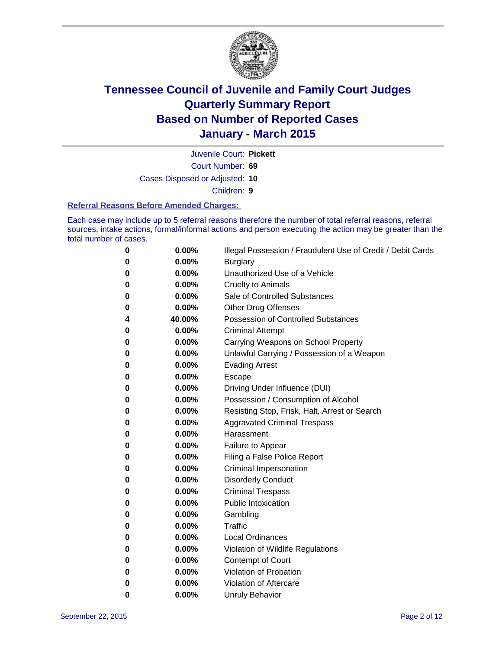

Juvenile Court: **Pickett**

Court Number: **69**

Cases Disposed or Adjusted: **10**

Children: **9**

#### **Referral Reasons Before Amended Charges:**

Each case may include up to 5 referral reasons therefore the number of total referral reasons, referral sources, intake actions, formal/informal actions and person executing the action may be greater than the total number of cases.

| 0 | 0.00%  | Illegal Possession / Fraudulent Use of Credit / Debit Cards |
|---|--------|-------------------------------------------------------------|
| 0 | 0.00%  | <b>Burglary</b>                                             |
| 0 | 0.00%  | Unauthorized Use of a Vehicle                               |
| 0 | 0.00%  | <b>Cruelty to Animals</b>                                   |
| 0 | 0.00%  | Sale of Controlled Substances                               |
| 0 | 0.00%  | <b>Other Drug Offenses</b>                                  |
| 4 | 40.00% | <b>Possession of Controlled Substances</b>                  |
| 0 | 0.00%  | <b>Criminal Attempt</b>                                     |
| 0 | 0.00%  | Carrying Weapons on School Property                         |
| 0 | 0.00%  | Unlawful Carrying / Possession of a Weapon                  |
| 0 | 0.00%  | <b>Evading Arrest</b>                                       |
| 0 | 0.00%  | Escape                                                      |
| 0 | 0.00%  | Driving Under Influence (DUI)                               |
| 0 | 0.00%  | Possession / Consumption of Alcohol                         |
| 0 | 0.00%  | Resisting Stop, Frisk, Halt, Arrest or Search               |
| 0 | 0.00%  | <b>Aggravated Criminal Trespass</b>                         |
| 0 | 0.00%  | Harassment                                                  |
| 0 | 0.00%  | Failure to Appear                                           |
| 0 | 0.00%  | Filing a False Police Report                                |
| 0 | 0.00%  | Criminal Impersonation                                      |
| 0 | 0.00%  | <b>Disorderly Conduct</b>                                   |
| 0 | 0.00%  | <b>Criminal Trespass</b>                                    |
| 0 | 0.00%  | <b>Public Intoxication</b>                                  |
| 0 | 0.00%  | Gambling                                                    |
| 0 | 0.00%  | Traffic                                                     |
| 0 | 0.00%  | <b>Local Ordinances</b>                                     |
| 0 | 0.00%  | Violation of Wildlife Regulations                           |
| 0 | 0.00%  | <b>Contempt of Court</b>                                    |
| 0 | 0.00%  | Violation of Probation                                      |
| 0 | 0.00%  | Violation of Aftercare                                      |
| 0 | 0.00%  | <b>Unruly Behavior</b>                                      |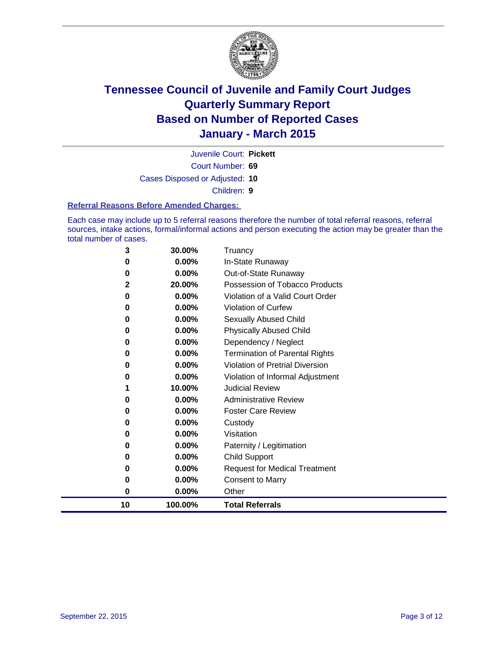

Juvenile Court: **Pickett**

Court Number: **69**

Cases Disposed or Adjusted: **10**

Children: **9**

#### **Referral Reasons Before Amended Charges:**

Each case may include up to 5 referral reasons therefore the number of total referral reasons, referral sources, intake actions, formal/informal actions and person executing the action may be greater than the total number of cases.

| 3  | 30.00%   | Truancy                                |
|----|----------|----------------------------------------|
| 0  | $0.00\%$ | In-State Runaway                       |
| 0  | $0.00\%$ | Out-of-State Runaway                   |
| 2  | 20.00%   | Possession of Tobacco Products         |
| 0  | $0.00\%$ | Violation of a Valid Court Order       |
| 0  | 0.00%    | <b>Violation of Curfew</b>             |
| 0  | $0.00\%$ | <b>Sexually Abused Child</b>           |
| 0  | 0.00%    | <b>Physically Abused Child</b>         |
| 0  | 0.00%    | Dependency / Neglect                   |
| 0  | $0.00\%$ | <b>Termination of Parental Rights</b>  |
| 0  | $0.00\%$ | <b>Violation of Pretrial Diversion</b> |
| 0  | $0.00\%$ | Violation of Informal Adjustment       |
|    | 10.00%   | <b>Judicial Review</b>                 |
| 0  | $0.00\%$ | <b>Administrative Review</b>           |
| 0  | 0.00%    | <b>Foster Care Review</b>              |
| 0  | 0.00%    | Custody                                |
| 0  | $0.00\%$ | Visitation                             |
| 0  | 0.00%    | Paternity / Legitimation               |
| 0  | $0.00\%$ | Child Support                          |
| 0  | 0.00%    | <b>Request for Medical Treatment</b>   |
| 0  | 0.00%    | <b>Consent to Marry</b>                |
| 0  | 0.00%    | Other                                  |
| 10 | 100.00%  | <b>Total Referrals</b>                 |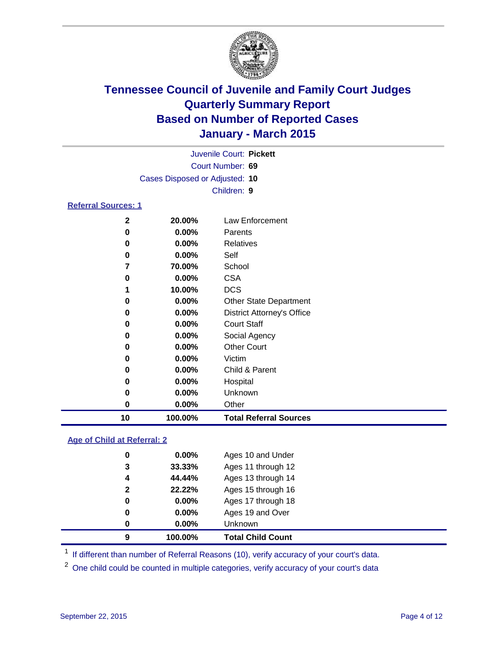

|                            | Juvenile Court: Pickett        |                                   |  |  |  |
|----------------------------|--------------------------------|-----------------------------------|--|--|--|
| Court Number: 69           |                                |                                   |  |  |  |
|                            | Cases Disposed or Adjusted: 10 |                                   |  |  |  |
|                            |                                | Children: 9                       |  |  |  |
| <b>Referral Sources: 1</b> |                                |                                   |  |  |  |
| $\mathbf{2}$               | 20.00%                         | Law Enforcement                   |  |  |  |
| 0                          | $0.00\%$                       | Parents                           |  |  |  |
| 0                          | $0.00\%$                       | <b>Relatives</b>                  |  |  |  |
| 0                          | $0.00\%$                       | Self                              |  |  |  |
| 7                          | 70.00%                         | School                            |  |  |  |
| 0                          | $0.00\%$                       | <b>CSA</b>                        |  |  |  |
|                            | 10.00%                         | <b>DCS</b>                        |  |  |  |
| 0                          | $0.00\%$                       | <b>Other State Department</b>     |  |  |  |
| 0                          | $0.00\%$                       | <b>District Attorney's Office</b> |  |  |  |
| 0                          | $0.00\%$                       | <b>Court Staff</b>                |  |  |  |
| 0                          | $0.00\%$                       | Social Agency                     |  |  |  |
| 0                          | $0.00\%$                       | <b>Other Court</b>                |  |  |  |
| 0                          | $0.00\%$                       | Victim                            |  |  |  |

| 10 | 100.00%  | <b>Total Referral Sources</b> |
|----|----------|-------------------------------|
| 0  | $0.00\%$ | Other                         |
| 0  | $0.00\%$ | <b>Unknown</b>                |
| 0  | $0.00\%$ | Hospital                      |
| 0  | $0.00\%$ | Child & Parent                |
| υ  | U.UU%    | VICUITI                       |

#### **Age of Child at Referral: 2**

| 0            | $0.00\%$ | Unknown            |
|--------------|----------|--------------------|
| 0            | $0.00\%$ | Ages 19 and Over   |
| 0            | $0.00\%$ | Ages 17 through 18 |
| $\mathbf{2}$ | 22.22%   | Ages 15 through 16 |
| 4            | 44.44%   | Ages 13 through 14 |
| 3            | 33.33%   | Ages 11 through 12 |
| 0            | $0.00\%$ | Ages 10 and Under  |
|              |          |                    |

<sup>1</sup> If different than number of Referral Reasons (10), verify accuracy of your court's data.

One child could be counted in multiple categories, verify accuracy of your court's data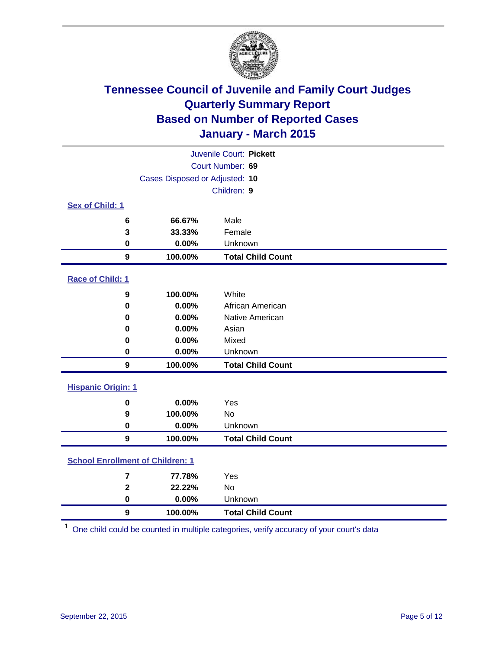

| Juvenile Court: Pickett   |                                         |                          |  |  |
|---------------------------|-----------------------------------------|--------------------------|--|--|
|                           | Court Number: 69                        |                          |  |  |
|                           | Cases Disposed or Adjusted: 10          |                          |  |  |
|                           |                                         | Children: 9              |  |  |
| <b>Sex of Child: 1</b>    |                                         |                          |  |  |
|                           | 66.67%<br>6                             | Male                     |  |  |
|                           | 33.33%<br>3                             | Female                   |  |  |
|                           | 0.00%<br>0                              | Unknown                  |  |  |
|                           | $\boldsymbol{9}$<br>100.00%             | <b>Total Child Count</b> |  |  |
| Race of Child: 1          |                                         |                          |  |  |
|                           | 100.00%<br>9                            | White                    |  |  |
|                           | 0.00%<br>$\bf{0}$                       | African American         |  |  |
|                           | 0.00%<br>0                              | Native American          |  |  |
|                           | 0.00%<br>0                              | Asian                    |  |  |
|                           | 0.00%<br>0                              | Mixed                    |  |  |
|                           | $\mathbf 0$<br>0.00%                    | Unknown                  |  |  |
|                           | $\boldsymbol{9}$<br>100.00%             | <b>Total Child Count</b> |  |  |
| <b>Hispanic Origin: 1</b> |                                         |                          |  |  |
|                           | 0.00%<br>0                              | Yes                      |  |  |
|                           | 100.00%<br>9                            | <b>No</b>                |  |  |
|                           | 0.00%<br>$\mathbf 0$                    | Unknown                  |  |  |
|                           | $\overline{9}$<br>100.00%               | <b>Total Child Count</b> |  |  |
|                           | <b>School Enrollment of Children: 1</b> |                          |  |  |
|                           | 77.78%<br>$\overline{\mathbf{r}}$       | Yes                      |  |  |
|                           | $\overline{2}$<br>22.22%                | <b>No</b>                |  |  |
|                           | 0.00%<br>$\pmb{0}$                      | Unknown                  |  |  |
|                           | $\boldsymbol{9}$<br>100.00%             | <b>Total Child Count</b> |  |  |

One child could be counted in multiple categories, verify accuracy of your court's data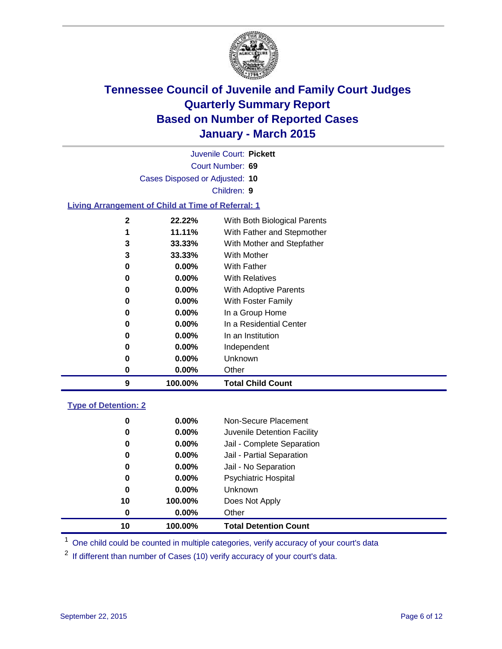

|                                                           |                                | Juvenile Court: Pickett      |
|-----------------------------------------------------------|--------------------------------|------------------------------|
|                                                           |                                | Court Number: 69             |
|                                                           | Cases Disposed or Adjusted: 10 |                              |
|                                                           |                                | Children: 9                  |
| <b>Living Arrangement of Child at Time of Referral: 1</b> |                                |                              |
| $\mathbf 2$                                               | 22.22%                         | With Both Biological Parents |
| 1                                                         | 11.11%                         | With Father and Stepmother   |
| 3                                                         | 33.33%                         | With Mother and Stepfather   |
| 3                                                         | 33.33%                         | <b>With Mother</b>           |
| 0                                                         | $0.00\%$                       | <b>With Father</b>           |
| 0                                                         | $0.00\%$                       | <b>With Relatives</b>        |
| 0                                                         | $0.00\%$                       | With Adoptive Parents        |
| 0                                                         | $0.00\%$                       | With Foster Family           |
| 0                                                         | $0.00\%$                       | In a Group Home              |
| 0                                                         | $0.00\%$                       | In a Residential Center      |
| 0                                                         | $0.00\%$                       | In an Institution            |
| 0                                                         | $0.00\%$                       | Independent                  |
| 0                                                         | $0.00\%$                       | Unknown                      |
| 0                                                         | 0.00%                          | Other                        |
| 9                                                         | 100.00%                        | <b>Total Child Count</b>     |
| <b>Type of Detention: 2</b>                               |                                |                              |
| 0                                                         | $0.00\%$                       | Non-Secure Placement         |
|                                                           |                                |                              |

| 10 | 100.00%  | <b>Total Detention Count</b> |
|----|----------|------------------------------|
| 0  | $0.00\%$ | Other                        |
| 10 | 100.00%  | Does Not Apply               |
| 0  | $0.00\%$ | <b>Unknown</b>               |
| 0  | $0.00\%$ | <b>Psychiatric Hospital</b>  |
| 0  | $0.00\%$ | Jail - No Separation         |
| 0  | $0.00\%$ | Jail - Partial Separation    |
| 0  | $0.00\%$ | Jail - Complete Separation   |
| 0  | $0.00\%$ | Juvenile Detention Facility  |
| u  | U.UU%    | Non-Secure Placement         |

<sup>1</sup> One child could be counted in multiple categories, verify accuracy of your court's data

If different than number of Cases (10) verify accuracy of your court's data.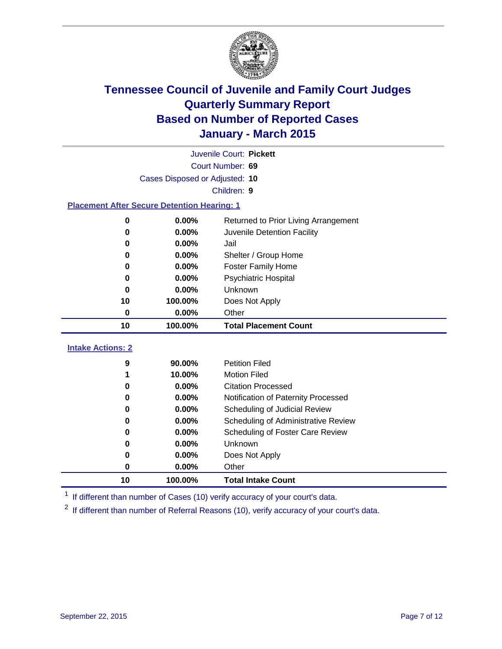

|                                                    | Juvenile Court: Pickett |                                      |  |  |
|----------------------------------------------------|-------------------------|--------------------------------------|--|--|
| Court Number: 69                                   |                         |                                      |  |  |
| Cases Disposed or Adjusted: 10                     |                         |                                      |  |  |
|                                                    |                         | Children: 9                          |  |  |
| <b>Placement After Secure Detention Hearing: 1</b> |                         |                                      |  |  |
| 0                                                  | 0.00%                   | Returned to Prior Living Arrangement |  |  |
| 0                                                  | 0.00%                   | Juvenile Detention Facility          |  |  |
| 0                                                  | 0.00%                   | Jail                                 |  |  |
| 0                                                  | 0.00%                   | Shelter / Group Home                 |  |  |
| 0                                                  | 0.00%                   | <b>Foster Family Home</b>            |  |  |
| 0                                                  | 0.00%                   | <b>Psychiatric Hospital</b>          |  |  |
| 0                                                  | 0.00%                   | Unknown                              |  |  |
| 10                                                 | 100.00%                 | Does Not Apply                       |  |  |
| $\mathbf 0$                                        | 0.00%                   | Other                                |  |  |
| 10                                                 | 100.00%                 | <b>Total Placement Count</b>         |  |  |
| <b>Intake Actions: 2</b>                           |                         |                                      |  |  |
| 9                                                  | 90.00%                  | <b>Petition Filed</b>                |  |  |
| 1                                                  | 10.00%                  | <b>Motion Filed</b>                  |  |  |
| 0                                                  | 0.00%                   | <b>Citation Processed</b>            |  |  |
| 0                                                  | 0.00%                   | Notification of Paternity Processed  |  |  |
| 0                                                  | 0.00%                   | Scheduling of Judicial Review        |  |  |
| 0                                                  | 0.00%                   | Scheduling of Administrative Review  |  |  |
| 0                                                  | 0.00%                   | Scheduling of Foster Care Review     |  |  |
| 0                                                  | 0.00%                   | Unknown                              |  |  |
| 0                                                  | 0.00%                   | Does Not Apply                       |  |  |
| 0                                                  | 0.00%                   | Other                                |  |  |
| 10                                                 | 100.00%                 | <b>Total Intake Count</b>            |  |  |

<sup>1</sup> If different than number of Cases (10) verify accuracy of your court's data.

<sup>2</sup> If different than number of Referral Reasons (10), verify accuracy of your court's data.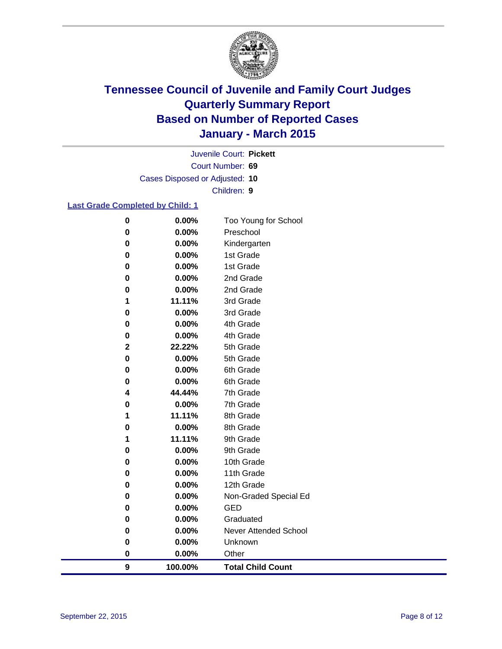

Court Number: **69** Juvenile Court: **Pickett** Cases Disposed or Adjusted: **10** Children: **9**

#### **Last Grade Completed by Child: 1**

| $\boldsymbol{9}$ | 100.00%  | <b>Total Child Count</b>     |
|------------------|----------|------------------------------|
| $\pmb{0}$        | 0.00%    | Other                        |
| $\bf{0}$         | 0.00%    | Unknown                      |
| 0                | 0.00%    | <b>Never Attended School</b> |
| 0                | 0.00%    | Graduated                    |
| 0                | 0.00%    | <b>GED</b>                   |
| 0                | 0.00%    | Non-Graded Special Ed        |
| 0                | 0.00%    | 12th Grade                   |
| 0                | 0.00%    | 11th Grade                   |
| $\bf{0}$         | 0.00%    | 10th Grade                   |
| 0                | $0.00\%$ | 9th Grade                    |
| 1                | 11.11%   | 9th Grade                    |
| 0                | 0.00%    | 8th Grade                    |
| 1                | 11.11%   | 8th Grade                    |
| $\bf{0}$         | 0.00%    | 7th Grade                    |
| 4                | 44.44%   | 7th Grade                    |
| $\bf{0}$         | 0.00%    | 6th Grade                    |
| 0                | 0.00%    | 6th Grade                    |
| 0                | 0.00%    | 5th Grade                    |
| $\mathbf 2$      | 22.22%   | 5th Grade                    |
| 0                | 0.00%    | 4th Grade                    |
| 0                | 0.00%    | 4th Grade                    |
| $\bf{0}$         | 0.00%    | 3rd Grade                    |
| 1                | 11.11%   | 3rd Grade                    |
| 0                | 0.00%    | 2nd Grade                    |
| 0                | 0.00%    | 2nd Grade                    |
| 0                | 0.00%    | 1st Grade                    |
| 0                | 0.00%    | 1st Grade                    |
| 0                | 0.00%    | Kindergarten                 |
| $\bf{0}$         | 0.00%    | Preschool                    |
| $\bf{0}$         | 0.00%    | Too Young for School         |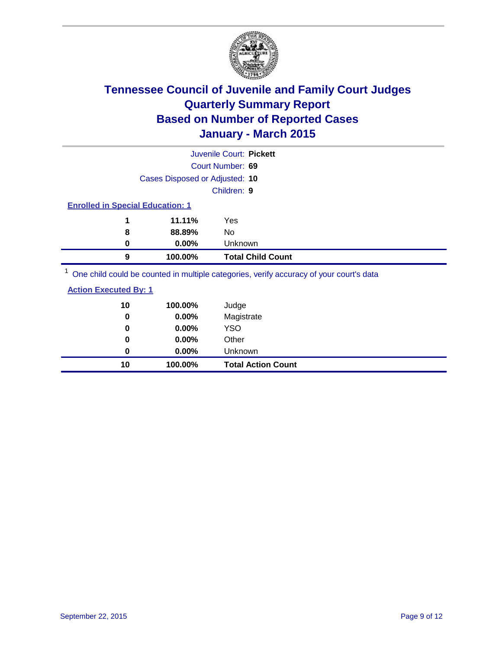

|                                         |                                | Juvenile Court: Pickett                                                                |
|-----------------------------------------|--------------------------------|----------------------------------------------------------------------------------------|
|                                         |                                | Court Number: 69                                                                       |
|                                         | Cases Disposed or Adjusted: 10 |                                                                                        |
|                                         |                                | Children: 9                                                                            |
| <b>Enrolled in Special Education: 1</b> |                                |                                                                                        |
| 1                                       | 11.11%                         | Yes                                                                                    |
| 8                                       | 88.89%                         | No.                                                                                    |
| 0                                       | $0.00\%$                       | Unknown                                                                                |
| 9                                       | 100.00%                        | <b>Total Child Count</b>                                                               |
|                                         |                                | One objet could be counted in multiple estegation verify accuracy of your courtle data |

<sup>1</sup> One child could be counted in multiple categories, verify accuracy of your court's data

| 10 | 100.00%  | Judge                     |
|----|----------|---------------------------|
| 0  | 0.00%    | Magistrate                |
| 0  | 0.00%    | <b>YSO</b>                |
| 0  | $0.00\%$ | Other                     |
| 0  | $0.00\%$ | Unknown                   |
| 10 | 100.00%  | <b>Total Action Count</b> |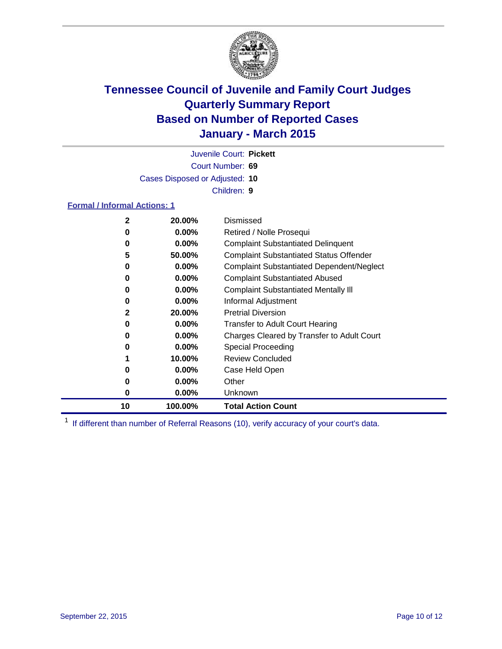

Court Number: **69** Juvenile Court: **Pickett** Cases Disposed or Adjusted: **10** Children: **9**

#### **Formal / Informal Actions: 1**

| $\mathbf{2}$ | 20.00%   | Dismissed                                        |
|--------------|----------|--------------------------------------------------|
| 0            | $0.00\%$ | Retired / Nolle Prosequi                         |
| 0            | $0.00\%$ | <b>Complaint Substantiated Delinquent</b>        |
| 5            | 50.00%   | <b>Complaint Substantiated Status Offender</b>   |
| 0            | $0.00\%$ | <b>Complaint Substantiated Dependent/Neglect</b> |
| 0            | $0.00\%$ | <b>Complaint Substantiated Abused</b>            |
| 0            | 0.00%    | <b>Complaint Substantiated Mentally III</b>      |
| 0            | $0.00\%$ | Informal Adjustment                              |
| $\mathbf{2}$ | 20.00%   | <b>Pretrial Diversion</b>                        |
| 0            | $0.00\%$ | <b>Transfer to Adult Court Hearing</b>           |
| 0            | $0.00\%$ | Charges Cleared by Transfer to Adult Court       |
| 0            | $0.00\%$ | Special Proceeding                               |
|              | 10.00%   | <b>Review Concluded</b>                          |
| 0            | $0.00\%$ | Case Held Open                                   |
| 0            | $0.00\%$ | Other                                            |
| 0            | $0.00\%$ | <b>Unknown</b>                                   |
| 10           | 100.00%  | <b>Total Action Count</b>                        |

<sup>1</sup> If different than number of Referral Reasons (10), verify accuracy of your court's data.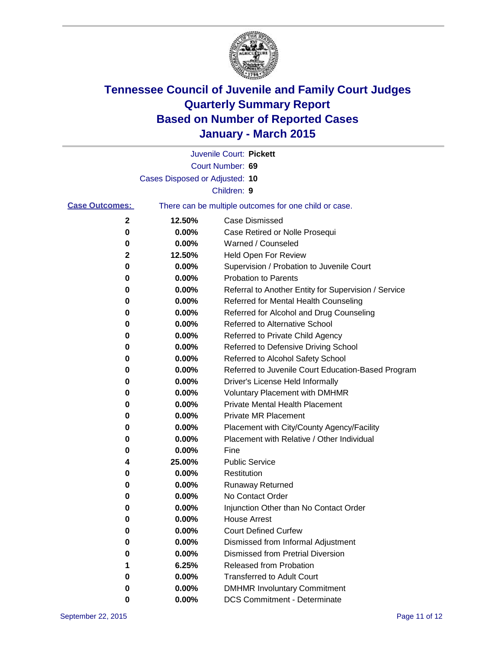

|                       |                                | Juvenile Court: Pickett                               |
|-----------------------|--------------------------------|-------------------------------------------------------|
|                       |                                | Court Number: 69                                      |
|                       | Cases Disposed or Adjusted: 10 |                                                       |
|                       |                                | Children: 9                                           |
| <b>Case Outcomes:</b> |                                | There can be multiple outcomes for one child or case. |
| 2                     | 12.50%                         | <b>Case Dismissed</b>                                 |
| 0                     | 0.00%                          | Case Retired or Nolle Prosequi                        |
| 0                     | 0.00%                          | Warned / Counseled                                    |
| 2                     | 12.50%                         | Held Open For Review                                  |
| 0                     | 0.00%                          | Supervision / Probation to Juvenile Court             |
| 0                     | 0.00%                          | <b>Probation to Parents</b>                           |
| 0                     | 0.00%                          | Referral to Another Entity for Supervision / Service  |
| 0                     | 0.00%                          | Referred for Mental Health Counseling                 |
| 0                     | 0.00%                          | Referred for Alcohol and Drug Counseling              |
| 0                     | 0.00%                          | <b>Referred to Alternative School</b>                 |
| 0                     | 0.00%                          | Referred to Private Child Agency                      |
| 0                     | 0.00%                          | Referred to Defensive Driving School                  |
| 0                     | 0.00%                          | Referred to Alcohol Safety School                     |
| 0                     | 0.00%                          | Referred to Juvenile Court Education-Based Program    |
| 0                     | 0.00%                          | Driver's License Held Informally                      |
| 0                     | 0.00%                          | <b>Voluntary Placement with DMHMR</b>                 |
| 0                     | 0.00%                          | Private Mental Health Placement                       |
| 0                     | 0.00%                          | <b>Private MR Placement</b>                           |
| 0                     | 0.00%                          | Placement with City/County Agency/Facility            |
| 0                     | 0.00%                          | Placement with Relative / Other Individual            |
| 0                     | 0.00%                          | Fine                                                  |
| 4                     | 25.00%                         | <b>Public Service</b>                                 |
| 0                     | 0.00%                          | Restitution                                           |
| 0                     | 0.00%                          | <b>Runaway Returned</b>                               |
| 0                     | 0.00%                          | No Contact Order                                      |
| 0                     | 0.00%                          | Injunction Other than No Contact Order                |
| 0                     | 0.00%                          | <b>House Arrest</b>                                   |
| 0                     | 0.00%                          | <b>Court Defined Curfew</b>                           |
| 0                     | 0.00%                          | Dismissed from Informal Adjustment                    |
| 0                     | 0.00%                          | Dismissed from Pretrial Diversion                     |
| 1                     | 6.25%                          | Released from Probation                               |
| 0                     | 0.00%                          | <b>Transferred to Adult Court</b>                     |
| 0                     | 0.00%                          | <b>DMHMR Involuntary Commitment</b>                   |
| 0                     | $0.00\%$                       | <b>DCS Commitment - Determinate</b>                   |